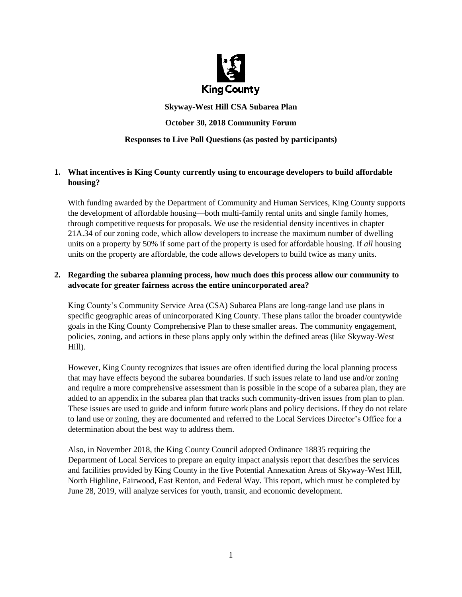

# **Skyway-West Hill CSA Subarea Plan October 30, 2018 Community Forum Responses to Live Poll Questions (as posted by participants)**

# **1. What incentives is King County currently using to encourage developers to build affordable housing?**

With funding awarded by the Department of Community and Human Services, King County supports the development of affordable housing—both multi-family rental units and single family homes, through competitive requests for proposals. We use the residential density incentives in chapter 21A.34 of our zoning code, which allow developers to increase the maximum number of dwelling units on a property by 50% if some part of the property is used for affordable housing. If *all* housing units on the property are affordable, the code allows developers to build twice as many units.

## **2. Regarding the subarea planning process, how much does this process allow our community to advocate for greater fairness across the entire unincorporated area?**

King County's Community Service Area (CSA) Subarea Plans are long-range land use plans in specific geographic areas of unincorporated King County. These plans tailor the broader countywide goals in the King County Comprehensive Plan to these smaller areas. The community engagement, policies, zoning, and actions in these plans apply only within the defined areas (like Skyway-West Hill).

However, King County recognizes that issues are often identified during the local planning process that may have effects beyond the subarea boundaries. If such issues relate to land use and/or zoning and require a more comprehensive assessment than is possible in the scope of a subarea plan, they are added to an appendix in the subarea plan that tracks such community-driven issues from plan to plan. These issues are used to guide and inform future work plans and policy decisions. If they do not relate to land use or zoning, they are documented and referred to the Local Services Director's Office for a determination about the best way to address them.

Also, in November 2018, the King County Council adopted Ordinance 18835 requiring the Department of Local Services to prepare an equity impact analysis report that describes the services and facilities provided by King County in the five Potential Annexation Areas of Skyway-West Hill, North Highline, Fairwood, East Renton, and Federal Way. This report, which must be completed by June 28, 2019, will analyze services for youth, transit, and economic development.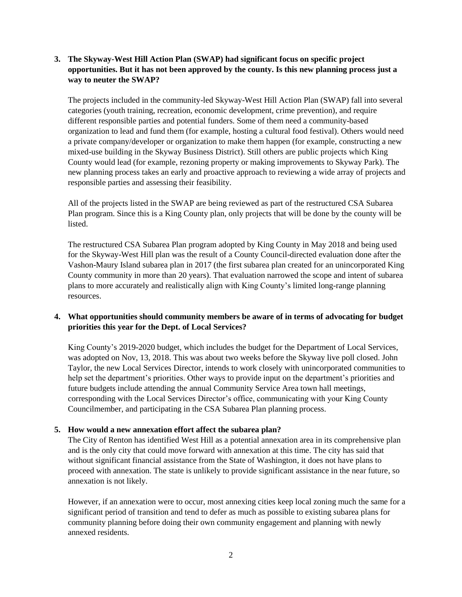## **3. The Skyway-West Hill Action Plan (SWAP) had significant focus on specific project opportunities. But it has not been approved by the county. Is this new planning process just a way to neuter the SWAP?**

The projects included in the community-led Skyway-West Hill Action Plan (SWAP) fall into several categories (youth training, recreation, economic development, crime prevention), and require different responsible parties and potential funders. Some of them need a community-based organization to lead and fund them (for example, hosting a cultural food festival). Others would need a private company/developer or organization to make them happen (for example, constructing a new mixed-use building in the Skyway Business District). Still others are public projects which King County would lead (for example, rezoning property or making improvements to Skyway Park). The new planning process takes an early and proactive approach to reviewing a wide array of projects and responsible parties and assessing their feasibility.

All of the projects listed in the SWAP are being reviewed as part of the restructured CSA Subarea Plan program. Since this is a King County plan, only projects that will be done by the county will be listed.

The restructured CSA Subarea Plan program adopted by King County in May 2018 and being used for the Skyway-West Hill plan was the result of a County Council-directed evaluation done after the Vashon-Maury Island subarea plan in 2017 (the first subarea plan created for an unincorporated King County community in more than 20 years). That evaluation narrowed the scope and intent of subarea plans to more accurately and realistically align with King County's limited long-range planning resources.

## **4. What opportunities should community members be aware of in terms of advocating for budget priorities this year for the Dept. of Local Services?**

King County's 2019-2020 budget, which includes the budget for the Department of Local Services, was adopted on Nov, 13, 2018. This was about two weeks before the Skyway live poll closed. John Taylor, the new Local Services Director, intends to work closely with unincorporated communities to help set the department's priorities. Other ways to provide input on the department's priorities and future budgets include attending the annual Community Service Area town hall meetings, corresponding with the Local Services Director's office, communicating with your King County Councilmember, and participating in the CSA Subarea Plan planning process.

#### **5. How would a new annexation effort affect the subarea plan?**

The City of Renton has identified West Hill as a potential annexation area in its comprehensive plan and is the only city that could move forward with annexation at this time. The city has said that without significant financial assistance from the State of Washington, it does not have plans to proceed with annexation. The state is unlikely to provide significant assistance in the near future, so annexation is not likely.

However, if an annexation were to occur, most annexing cities keep local zoning much the same for a significant period of transition and tend to defer as much as possible to existing subarea plans for community planning before doing their own community engagement and planning with newly annexed residents.